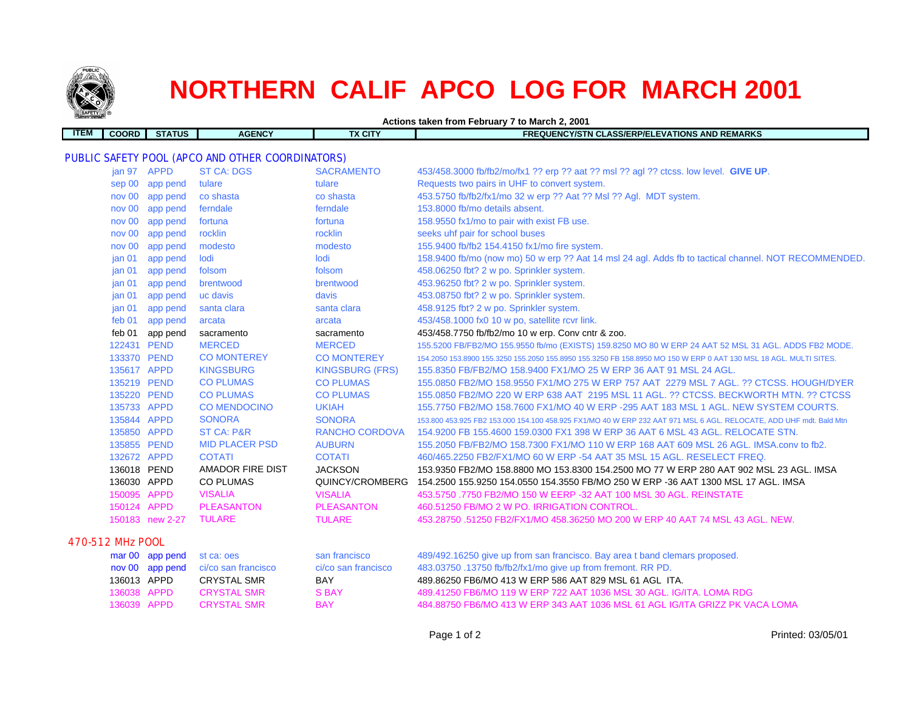

## **NORTHERN CALIF APCO LOG FOR MARCH 2001**

**Actions taken from February 7 to March 2, 2001**

| <b>ITEM</b>                                             | <b>COORD</b>      | <b>STATUS</b>   | <b>AGENCY</b>         | <b>TX CITY</b>         | <b>FREQUENCY/STN CLASS/ERP/ELEVATIONS AND REMARKS</b>                                                              |  |  |
|---------------------------------------------------------|-------------------|-----------------|-----------------------|------------------------|--------------------------------------------------------------------------------------------------------------------|--|--|
|                                                         |                   |                 |                       |                        |                                                                                                                    |  |  |
| <b>PUBLIC SAFETY POOL (APCO AND OTHER COORDINATORS)</b> |                   |                 |                       |                        |                                                                                                                    |  |  |
|                                                         | jan 97 APPD       |                 | <b>ST CA: DGS</b>     | <b>SACRAMENTO</b>      | 453/458.3000 fb/fb2/mo/fx1 ?? erp ?? aat ?? msl ?? agl ?? ctcss. low level. GIVE UP.                               |  |  |
|                                                         |                   | sep 00 app pend | tulare                | tulare                 | Requests two pairs in UHF to convert system.                                                                       |  |  |
|                                                         | nov 00            | app pend        | co shasta             | co shasta              | 453.5750 fb/fb2/fx1/mo 32 w erp ?? Aat ?? Msl ?? Agl. MDT system.                                                  |  |  |
|                                                         | nov 00            | app pend        | ferndale              | ferndale               | 153.8000 fb/mo details absent.                                                                                     |  |  |
|                                                         | nov 00            | app pend        | fortuna               | fortuna                | 158.9550 fx1/mo to pair with exist FB use.                                                                         |  |  |
|                                                         | nov 00            | app pend        | rocklin               | rocklin                | seeks uhf pair for school buses                                                                                    |  |  |
|                                                         | nov 00            | app pend        | modesto               | modesto                | 155.9400 fb/fb2 154.4150 fx1/mo fire system.                                                                       |  |  |
|                                                         | jan <sub>01</sub> | app pend        | lodi                  | lodi                   | 158.9400 fb/mo (now mo) 50 w erp ?? Aat 14 msl 24 agl. Adds fb to tactical channel. NOT RECOMMENDED.               |  |  |
|                                                         | jan <sub>01</sub> | app pend        | folsom                | folsom                 | 458.06250 fbt? 2 w po. Sprinkler system.                                                                           |  |  |
|                                                         | jan <sub>01</sub> | app pend        | brentwood             | brentwood              | 453.96250 fbt? 2 w po. Sprinkler system.                                                                           |  |  |
|                                                         | jan <sub>01</sub> | app pend        | uc davis              | davis                  | 453.08750 fbt? 2 w po. Sprinkler system.                                                                           |  |  |
|                                                         | jan <sub>01</sub> | app pend        | santa clara           | santa clara            | 458.9125 fbt? 2 w po. Sprinkler system.                                                                            |  |  |
|                                                         | feb 01            | app pend        | arcata                | arcata                 | 453/458.1000 fx0 10 w po, satellite rcvr link.                                                                     |  |  |
|                                                         | feb 01            | app pend        | sacramento            | sacramento             | 453/458.7750 fb/fb2/mo 10 w erp. Conv cntr & zoo.                                                                  |  |  |
|                                                         | 122431 PEND       |                 | <b>MERCED</b>         | <b>MERCED</b>          | 155.5200 FB/FB2/MO 155.9550 fb/mo (EXISTS) 159.8250 MO 80 W ERP 24 AAT 52 MSL 31 AGL. ADDS FB2 MODE.               |  |  |
|                                                         | 133370 PEND       |                 | <b>CO MONTEREY</b>    | <b>CO MONTEREY</b>     | 154.2050 153.8900 155.3250 155.2050 155.8950 155.3250 FB 158.8950 MO 150 W ERP 0 AAT 130 MSL 18 AGL. MULTI SITES.  |  |  |
|                                                         | 135617 APPD       |                 | <b>KINGSBURG</b>      | <b>KINGSBURG (FRS)</b> | 155.8350 FB/FB2/MO 158.9400 FX1/MO 25 W ERP 36 AAT 91 MSL 24 AGL.                                                  |  |  |
|                                                         | 135219 PEND       |                 | <b>CO PLUMAS</b>      | <b>CO PLUMAS</b>       | 155.0850 FB2/MO 158.9550 FX1/MO 275 W ERP 757 AAT 2279 MSL 7 AGL. ?? CTCSS. HOUGH/DYER                             |  |  |
|                                                         | 135220 PEND       |                 | <b>CO PLUMAS</b>      | <b>CO PLUMAS</b>       | 155.0850 FB2/MO 220 W ERP 638 AAT 2195 MSL 11 AGL. ?? CTCSS. BECKWORTH MTN. ?? CTCSS                               |  |  |
|                                                         | 135733 APPD       |                 | <b>CO MENDOCINO</b>   | <b>UKIAH</b>           | 155,7750 FB2/MO 158,7600 FX1/MO 40 W ERP -295 AAT 183 MSL 1 AGL. NEW SYSTEM COURTS.                                |  |  |
|                                                         | 135844 APPD       |                 | <b>SONORA</b>         | <b>SONORA</b>          | 153.800 453.925 FB2 153.000 154.100 458.925 FX1/MO 40 W ERP 232 AAT 971 MSL 6 AGL. RELOCATE, ADD UHF mdt. Bald Mtn |  |  |
|                                                         | 135850 APPD       |                 | <b>ST CA: P&amp;R</b> | <b>RANCHO CORDOVA</b>  | 154,9200 FB 155,4600 159,0300 FX1 398 W ERP 36 AAT 6 MSL 43 AGL. RELOCATE STN.                                     |  |  |
|                                                         | 135855 PEND       |                 | <b>MID PLACER PSD</b> | <b>AUBURN</b>          | 155.2050 FB/FB2/MO 158.7300 FX1/MO 110 W ERP 168 AAT 609 MSL 26 AGL. IMSA.conv to fb2.                             |  |  |
|                                                         | 132672 APPD       |                 | <b>COTATI</b>         | <b>COTATI</b>          | 460/465.2250 FB2/FX1/MO 60 W ERP -54 AAT 35 MSL 15 AGL. RESELECT FREQ.                                             |  |  |
|                                                         | 136018 PEND       |                 | AMADOR FIRE DIST      | <b>JACKSON</b>         | 153.9350 FB2/MO 158.8800 MO 153.8300 154.2500 MO 77 W ERP 280 AAT 902 MSL 23 AGL. IMSA                             |  |  |
|                                                         | 136030 APPD       |                 | <b>CO PLUMAS</b>      | QUINCY/CROMBERG        | 154.2500 155.9250 154.0550 154.3550 FB/MO 250 W ERP -36 AAT 1300 MSL 17 AGL. IMSA                                  |  |  |
|                                                         | 150095 APPD       |                 | <b>VISALIA</b>        | <b>VISALIA</b>         | 453.5750 .7750 FB2/MO 150 W EERP -32 AAT 100 MSL 30 AGL. REINSTATE                                                 |  |  |
|                                                         | 150124 APPD       |                 | <b>PLEASANTON</b>     | <b>PLEASANTON</b>      | 460.51250 FB/MO 2 W PO. IRRIGATION CONTROL.                                                                        |  |  |
|                                                         |                   | 150183 new 2-27 | <b>TULARE</b>         | <b>TULARE</b>          | 453.28750 .51250 FB2/FX1/MO 458.36250 MO 200 W ERP 40 AAT 74 MSL 43 AGL. NEW.                                      |  |  |
|                                                         | 470-512 MHz POOL  |                 |                       |                        |                                                                                                                    |  |  |
|                                                         |                   | mar 00 app pend | st ca: oes            | san francisco          | 489/492.16250 give up from san francisco. Bay area t band clemars proposed.                                        |  |  |
|                                                         |                   | nov 00 app pend | ci/co san francisco   | ci/co san francisco    | 483.03750 .13750 fb/fb2/fx1/mo give up from fremont. RR PD.                                                        |  |  |
|                                                         | 136013 APPD       |                 | <b>CRYSTAL SMR</b>    | BAY                    | 489.86250 FB6/MO 413 W ERP 586 AAT 829 MSL 61 AGL ITA.                                                             |  |  |
|                                                         | 136038 APPD       |                 | <b>CRYSTAL SMR</b>    | <b>SBAY</b>            | 489.41250 FB6/MO 119 W ERP 722 AAT 1036 MSL 30 AGL. IG/ITA. LOMA RDG                                               |  |  |
|                                                         | 136039 APPD       |                 | <b>CRYSTAL SMR</b>    | <b>BAY</b>             | 484.88750 FB6/MO 413 W ERP 343 AAT 1036 MSL 61 AGL IG/ITA GRIZZ PK VACA LOMA                                       |  |  |